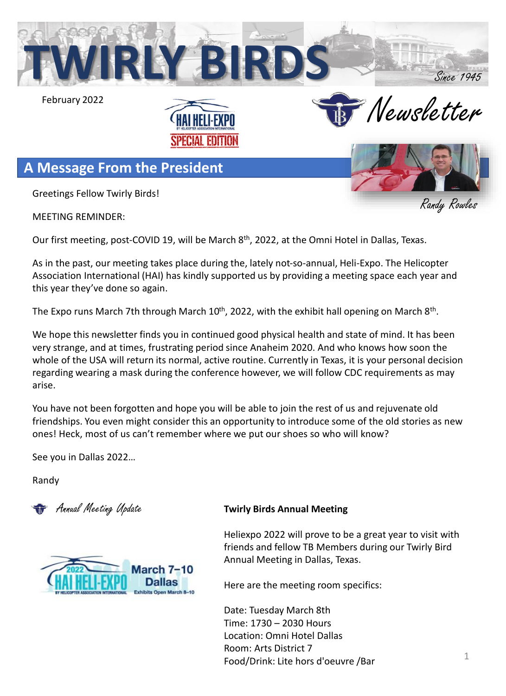

MEETING REMINDER:

Our first meeting, post-COVID 19, will be March 8<sup>th</sup>, 2022, at the Omni Hotel in Dallas, Texas.

As in the past, our meeting takes place during the, lately not-so-annual, Heli-Expo. The Helicopter Association International (HAI) has kindly supported us by providing a meeting space each year and this year they've done so again.

The Expo runs March 7th through March 10<sup>th</sup>, 2022, with the exhibit hall opening on March 8<sup>th</sup>.

We hope this newsletter finds you in continued good physical health and state of mind. It has been very strange, and at times, frustrating period since Anaheim 2020. And who knows how soon the whole of the USA will return its normal, active routine. Currently in Texas, it is your personal decision regarding wearing a mask during the conference however, we will follow CDC requirements as may arise.

You have not been forgotten and hope you will be able to join the rest of us and rejuvenate old friendships. You even might consider this an opportunity to introduce some of the old stories as new ones! Heck, most of us can't remember where we put our shoes so who will know?

See you in Dallas 2022…

Randy



#### Annual Meeting Update **Twirly Birds Annual Meeting**

Heliexpo 2022 will prove to be a great year to visit with friends and fellow TB Members during our Twirly Bird Annual Meeting in Dallas, Texas.

Here are the meeting room specifics:

Date: Tuesday March 8th Time: 1730 – 2030 Hours Location: Omni Hotel Dallas Room: Arts District 7 Food/Drink: Lite hors d'oeuvre /Bar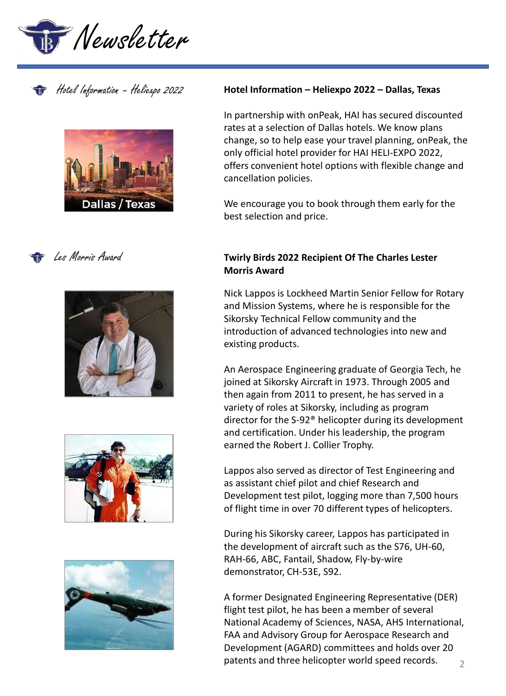











#### Hotel Information – Heliexpo 2022 **Hotel Information – Heliexpo 2022 – Dallas, Texas**

In partnership with onPeak, HAI has secured discounted rates at a selection of Dallas hotels. We know plans change, so to help ease your travel planning, onPeak, the only official hotel provider for HAI HELI-EXPO 2022, offers convenient hotel options with flexible change and cancellation policies.

We encourage you to book through them early for the best selection and price.

#### **Twirly Birds 2022 Recipient Of The Charles Lester Morris Award**

Nick Lappos is Lockheed Martin Senior Fellow for Rotary and Mission Systems, where he is responsible for the Sikorsky Technical Fellow community and the introduction of advanced technologies into new and existing products.

An Aerospace Engineering graduate of Georgia Tech, he joined at Sikorsky Aircraft in 1973. Through 2005 and then again from 2011 to present, he has served in a variety of roles at Sikorsky, including as program director for the S-92® helicopter during its development and certification. Under his leadership, the program earned the Robert J. Collier Trophy.

Lappos also served as director of Test Engineering and as assistant chief pilot and chief Research and Development test pilot, logging more than 7,500 hours of flight time in over 70 different types of helicopters.

During his Sikorsky career, Lappos has participated in the development of aircraft such as the S76, UH-60, RAH-66, ABC, Fantail, Shadow, Fly-by-wire demonstrator, CH-53E, S92.

 $\mathfrak{I}$ A former Designated Engineering Representative (DER) flight test pilot, he has been a member of several National Academy of Sciences, NASA, AHS International, FAA and Advisory Group for Aerospace Research and Development (AGARD) committees and holds over 20 patents and three helicopter world speed records.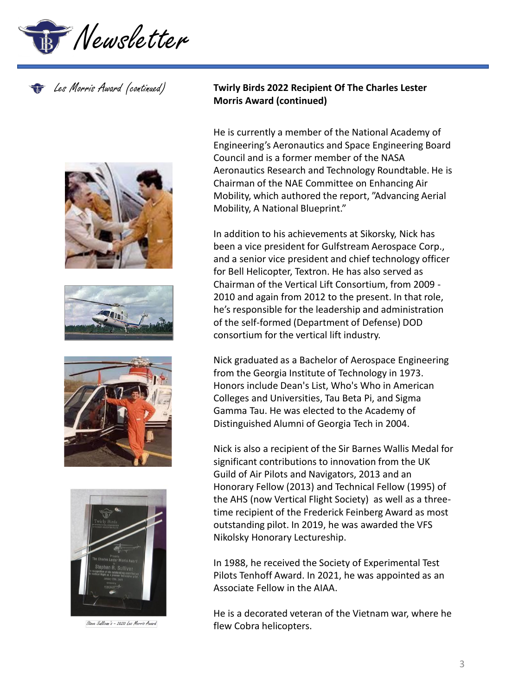









Steve Sallivan's - 2020 Les Morris Award

## Les Morris Award (continued) **Twirly Birds 2022 Recipient Of The Charles Lester Morris Award (continued)**

He is currently a member of the National Academy of Engineering's Aeronautics and Space Engineering Board Council and is a former member of the NASA Aeronautics Research and Technology Roundtable. He is Chairman of the NAE Committee on Enhancing Air Mobility, which authored the report, "Advancing Aerial Mobility, A National Blueprint."

In addition to his achievements at Sikorsky, Nick has been a vice president for Gulfstream Aerospace Corp., and a senior vice president and chief technology officer for Bell Helicopter, Textron. He has also served as Chairman of the Vertical Lift Consortium, from 2009 - 2010 and again from 2012 to the present. In that role, he's responsible for the leadership and administration of the self-formed (Department of Defense) DOD consortium for the vertical lift industry.

Nick graduated as a Bachelor of Aerospace Engineering from the Georgia Institute of Technology in 1973. Honors include Dean's List, Who's Who in American Colleges and Universities, Tau Beta Pi, and Sigma Gamma Tau. He was elected to the Academy of Distinguished Alumni of Georgia Tech in 2004.

Nick is also a recipient of the Sir Barnes Wallis Medal for significant contributions to innovation from the UK Guild of Air Pilots and Navigators, 2013 and an Honorary Fellow (2013) and Technical Fellow (1995) of the AHS (now Vertical Flight Society) as well as a threetime recipient of the Frederick Feinberg Award as most outstanding pilot. In 2019, he was awarded the VFS Nikolsky Honorary Lectureship.

In 1988, he received the Society of Experimental Test Pilots Tenhoff Award. In 2021, he was appointed as an Associate Fellow in the AIAA.

He is a decorated veteran of the Vietnam war, where he flew Cobra helicopters.